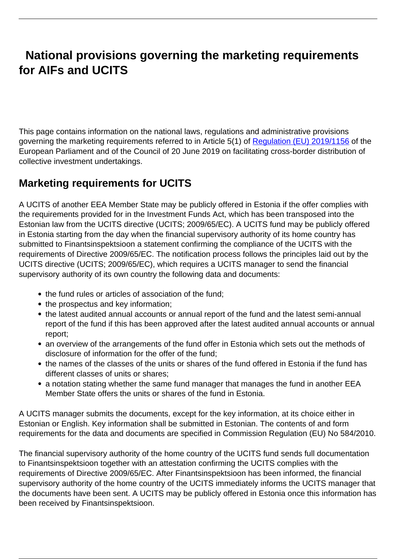# **National provisions governing the marketing requirements for AIFs and UCITS**

This page contains information on the national laws, regulations and administrative provisions governing the marketing requirements referred to in Article 5(1) of [Regulation \(EU\) 2019/1156](https://eur-lex.europa.eu/legal-content/EN/TXT/?uri=CELEX:32019R1156) of the European Parliament and of the Council of 20 June 2019 on facilitating cross-border distribution of collective investment undertakings.

### **Marketing requirements for UCITS**

A UCITS of another EEA Member State may be publicly offered in Estonia if the offer complies with the requirements provided for in the Investment Funds Act, which has been transposed into the Estonian law from the UCITS directive (UCITS; 2009/65/EC). A UCITS fund may be publicly offered in Estonia starting from the day when the financial supervisory authority of its home country has submitted to Finantsinspektsioon a statement confirming the compliance of the UCITS with the requirements of Directive 2009/65/EC. The notification process follows the principles laid out by the UCITS directive (UCITS; 2009/65/EC), which requires a UCITS manager to send the financial supervisory authority of its own country the following data and documents:

- the fund rules or articles of association of the fund;
- the prospectus and key information:
- the latest audited annual accounts or annual report of the fund and the latest semi-annual report of the fund if this has been approved after the latest audited annual accounts or annual report;
- an overview of the arrangements of the fund offer in Estonia which sets out the methods of disclosure of information for the offer of the fund;
- the names of the classes of the units or shares of the fund offered in Estonia if the fund has different classes of units or shares;
- a notation stating whether the same fund manager that manages the fund in another EEA Member State offers the units or shares of the fund in Estonia.

A UCITS manager submits the documents, except for the key information, at its choice either in Estonian or English. Key information shall be submitted in Estonian. The contents of and form requirements for the data and documents are specified in Commission Regulation (EU) No 584/2010.

The financial supervisory authority of the home country of the UCITS fund sends full documentation to Finantsinspektsioon together with an attestation confirming the UCITS complies with the requirements of Directive 2009/65/EC. After Finantsinspektsioon has been informed, the financial supervisory authority of the home country of the UCITS immediately informs the UCITS manager that the documents have been sent. A UCITS may be publicly offered in Estonia once this information has been received by Finantsinspektsioon.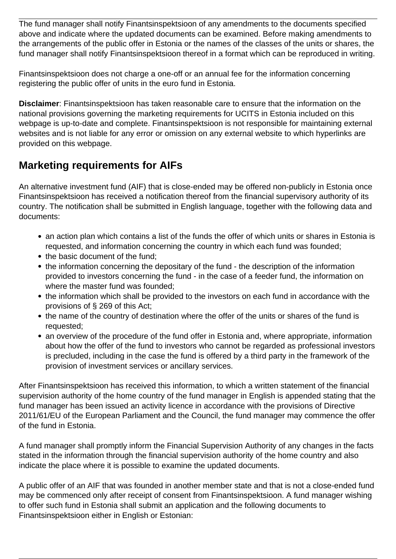The fund manager shall notify Finantsinspektsioon of any amendments to the documents specified above and indicate where the updated documents can be examined. Before making amendments to the arrangements of the public offer in Estonia or the names of the classes of the units or shares, the fund manager shall notify Finantsinspektsioon thereof in a format which can be reproduced in writing.

Finantsinspektsioon does not charge a one-off or an annual fee for the information concerning registering the public offer of units in the euro fund in Estonia.

**Disclaimer**: Finantsinspektsioon has taken reasonable care to ensure that the information on the national provisions governing the marketing requirements for UCITS in Estonia included on this webpage is up-to-date and complete. Finantsinspektsioon is not responsible for maintaining external websites and is not liable for any error or omission on any external website to which hyperlinks are provided on this webpage.

## **Marketing requirements for AIFs**

An alternative investment fund (AIF) that is close-ended may be offered non-publicly in Estonia once Finantsinspektsioon has received a notification thereof from the financial supervisory authority of its country. The notification shall be submitted in English language, together with the following data and documents:

- an action plan which contains a list of the funds the offer of which units or shares in Estonia is requested, and information concerning the country in which each fund was founded;
- the basic document of the fund;
- the information concerning the depositary of the fund the description of the information provided to investors concerning the fund - in the case of a feeder fund, the information on where the master fund was founded;
- the information which shall be provided to the investors on each fund in accordance with the provisions of § 269 of this Act;
- the name of the country of destination where the offer of the units or shares of the fund is requested;
- an overview of the procedure of the fund offer in Estonia and, where appropriate, information about how the offer of the fund to investors who cannot be regarded as professional investors is precluded, including in the case the fund is offered by a third party in the framework of the provision of investment services or ancillary services.

After Finantsinspektsioon has received this information, to which a written statement of the financial supervision authority of the home country of the fund manager in English is appended stating that the fund manager has been issued an activity licence in accordance with the provisions of Directive 2011/61/EU of the European Parliament and the Council, the fund manager may commence the offer of the fund in Estonia.

A fund manager shall promptly inform the Financial Supervision Authority of any changes in the facts stated in the information through the financial supervision authority of the home country and also indicate the place where it is possible to examine the updated documents.

A public offer of an AIF that was founded in another member state and that is not a close-ended fund may be commenced only after receipt of consent from Finantsinspektsioon. A fund manager wishing to offer such fund in Estonia shall submit an application and the following documents to Finantsinspektsioon either in English or Estonian: